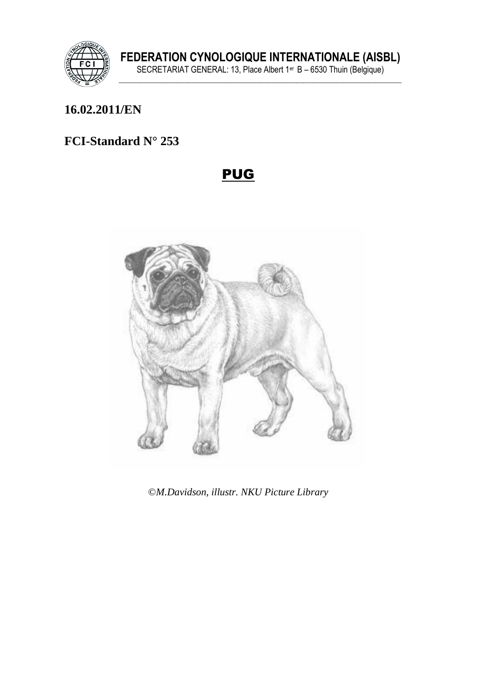

# **16.02.2011/EN**

# **FCI-Standard N° 253**

# PUG



©*M.Davidson, illustr. NKU Picture Library*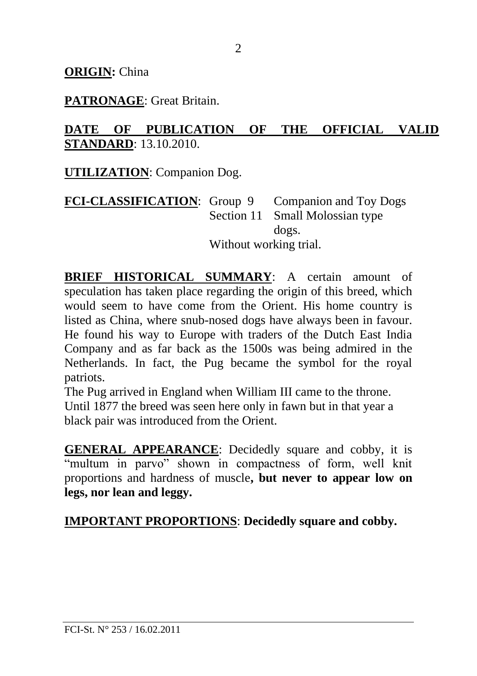#### **ORIGIN:** China

#### **PATRONAGE**: Great Britain.

### **DATE OF PUBLICATION OF THE OFFICIAL VALID STANDARD**: 13.10.2010.

**UTILIZATION**: Companion Dog.

**FCI-CLASSIFICATION**: Group 9 Companion and Toy Dogs Section 11 Small Molossian type dogs. Without working trial.

**BRIEF HISTORICAL SUMMARY**: A certain amount of speculation has taken place regarding the origin of this breed, which would seem to have come from the Orient. His home country is listed as China, where snub-nosed dogs have always been in favour. He found his way to Europe with traders of the Dutch East India Company and as far back as the 1500s was being admired in the Netherlands. In fact, the Pug became the symbol for the royal patriots.

The Pug arrived in England when William III came to the throne. Until 1877 the breed was seen here only in fawn but in that year a black pair was introduced from the Orient.

**GENERAL APPEARANCE**: Decidedly square and cobby, it is "multum in parvo" shown in compactness of form, well knit proportions and hardness of muscle**, but never to appear low on legs, nor lean and leggy.**

**IMPORTANT PROPORTIONS**: **Decidedly square and cobby.**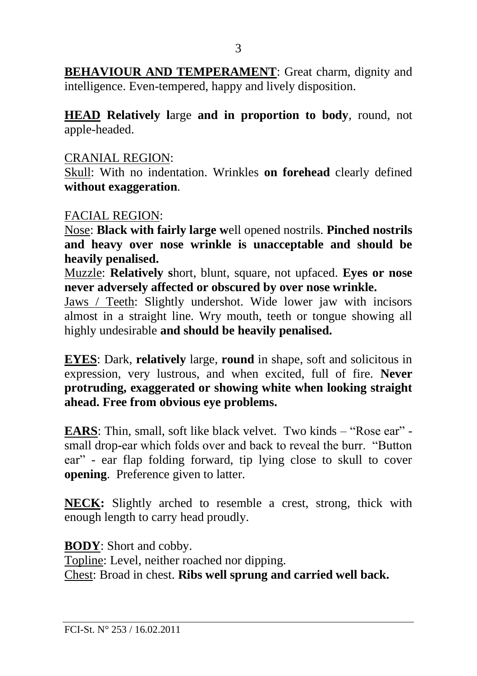**BEHAVIOUR AND TEMPERAMENT:** Great charm, dignity and intelligence. Even-tempered, happy and lively disposition.

**HEAD Relatively l**arge **and in proportion to body**, round, not apple-headed.

#### CRANIAL REGION:

Skull: With no indentation. Wrinkles **on forehead** clearly defined **without exaggeration**.

#### FACIAL REGION:

Nose: **Black with fairly large w**ell opened nostrils. **Pinched nostrils and heavy over nose wrinkle is unacceptable and should be heavily penalised.**

Muzzle: **Relatively s**hort, blunt, square, not upfaced. **Eyes or nose never adversely affected or obscured by over nose wrinkle.**

Jaws / Teeth: Slightly undershot. Wide lower jaw with incisors almost in a straight line. Wry mouth, teeth or tongue showing all highly undesirable **and should be heavily penalised.**

**EYES**: Dark, **relatively** large, **round** in shape, soft and solicitous in expression, very lustrous, and when excited, full of fire. **Never protruding, exaggerated or showing white when looking straight ahead. Free from obvious eye problems.** 

**EARS:** Thin, small, soft like black velvet. Two kinds – "Rose ear" small drop**-**ear which folds over and back to reveal the burr. "Button ear" - ear flap folding forward, tip lying close to skull to cover **opening**. Preference given to latter.

**NECK:** Slightly arched to resemble a crest, strong, thick with enough length to carry head proudly.

**BODY**: Short and cobby. Topline: Level, neither roached nor dipping. Chest: Broad in chest. **Ribs well sprung and carried well back.**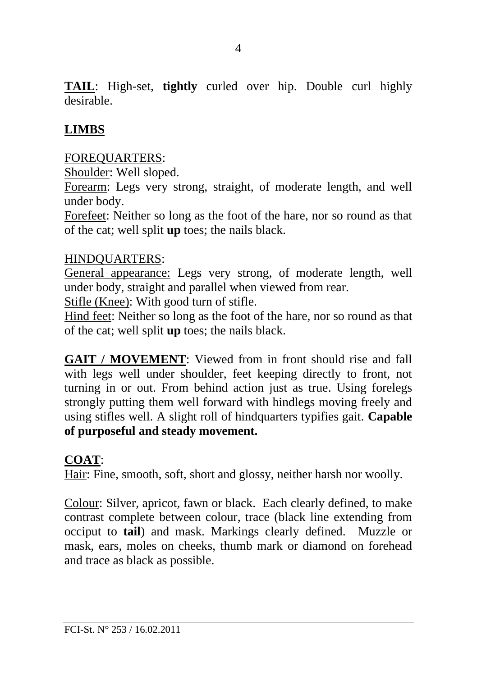**TAIL**: High-set, **tightly** curled over hip. Double curl highly desirable.

# **LIMBS**

### FOREQUARTERS:

Shoulder: Well sloped.

Forearm: Legs very strong, straight, of moderate length, and well under body.

Forefeet: Neither so long as the foot of the hare, nor so round as that of the cat; well split **up** toes; the nails black.

#### HINDQUARTERS:

General appearance: Legs very strong, of moderate length, well under body, straight and parallel when viewed from rear.

Stifle (Knee): With good turn of stifle.

Hind feet: Neither so long as the foot of the hare, nor so round as that of the cat; well split **up** toes; the nails black.

**GAIT / MOVEMENT**: Viewed from in front should rise and fall with legs well under shoulder, feet keeping directly to front, not turning in or out. From behind action just as true. Using forelegs strongly putting them well forward with hindlegs moving freely and using stifles well. A slight roll of hindquarters typifies gait. **Capable of purposeful and steady movement.**

### **COAT**:

Hair: Fine, smooth, soft, short and glossy, neither harsh nor woolly.

Colour: Silver, apricot, fawn or black. Each clearly defined, to make contrast complete between colour, trace (black line extending from occiput to **tail**) and mask. Markings clearly defined. Muzzle or mask, ears, moles on cheeks, thumb mark or diamond on forehead and trace as black as possible.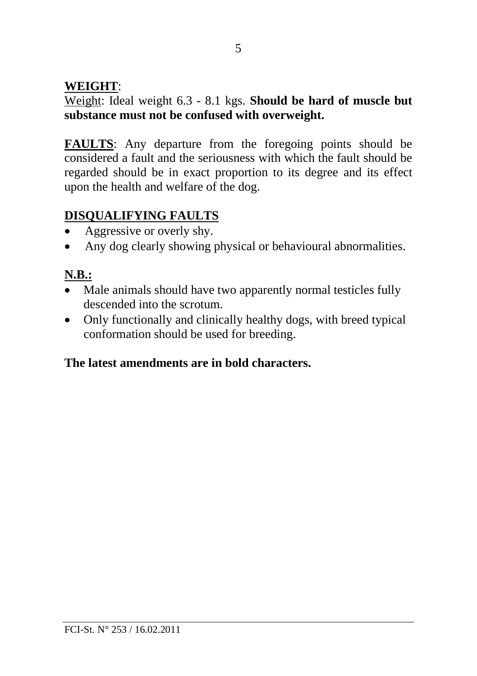### **WEIGHT**:

Weight: Ideal weight 6.3 - 8.1 kgs. **Should be hard of muscle but substance must not be confused with overweight.**

**FAULTS**: Any departure from the foregoing points should be considered a fault and the seriousness with which the fault should be regarded should be in exact proportion to its degree and its effect upon the health and welfare of the dog.

# **DISQUALIFYING FAULTS**

- Aggressive or overly shy.
- Any dog clearly showing physical or behavioural abnormalities.

# **N.B.:**

- Male animals should have two apparently normal testicles fully descended into the scrotum.
- Only functionally and clinically healthy dogs, with breed typical conformation should be used for breeding.

### **The latest amendments are in bold characters.**